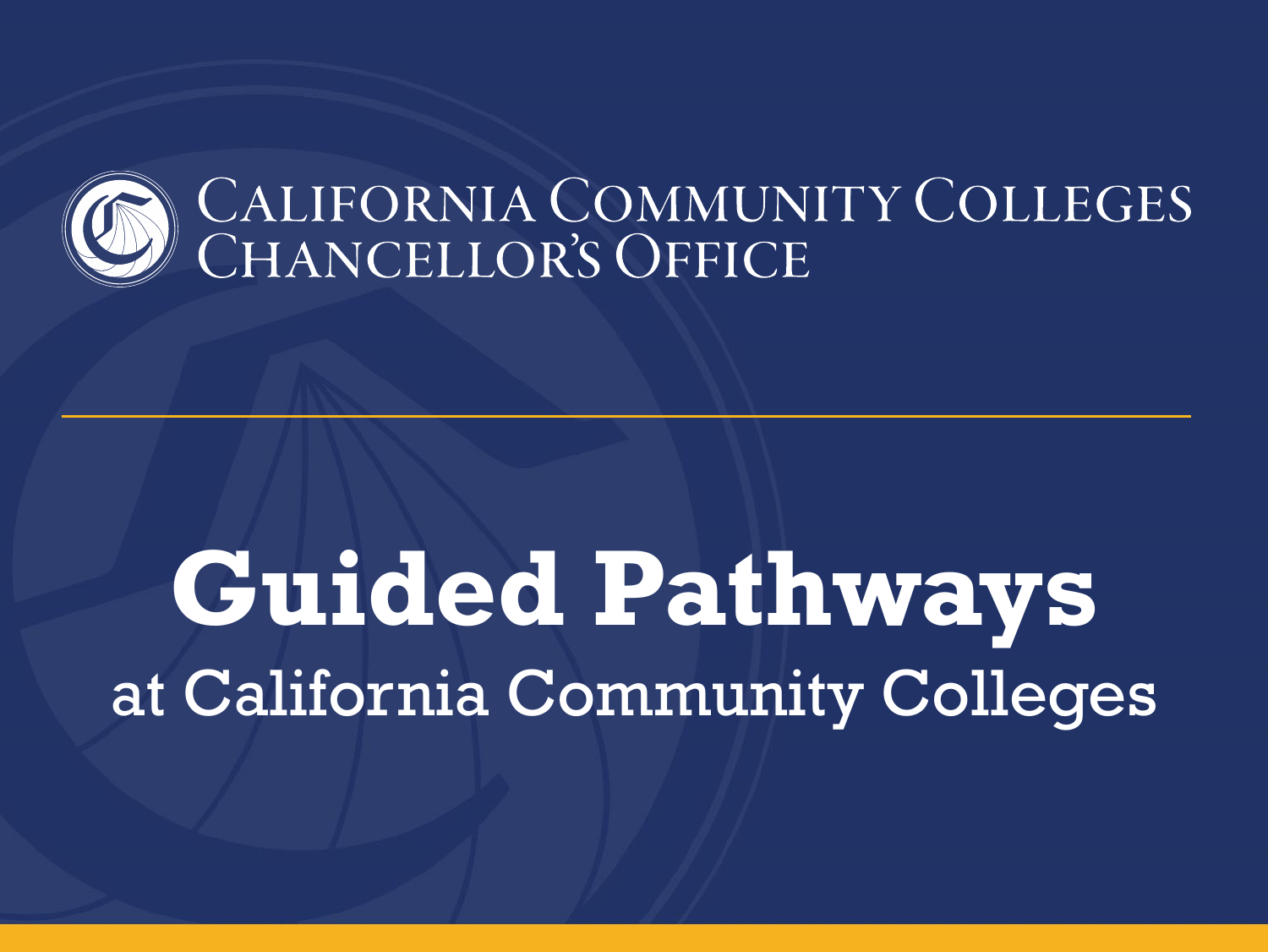

# **Guided Pathways**  at California Community Colleges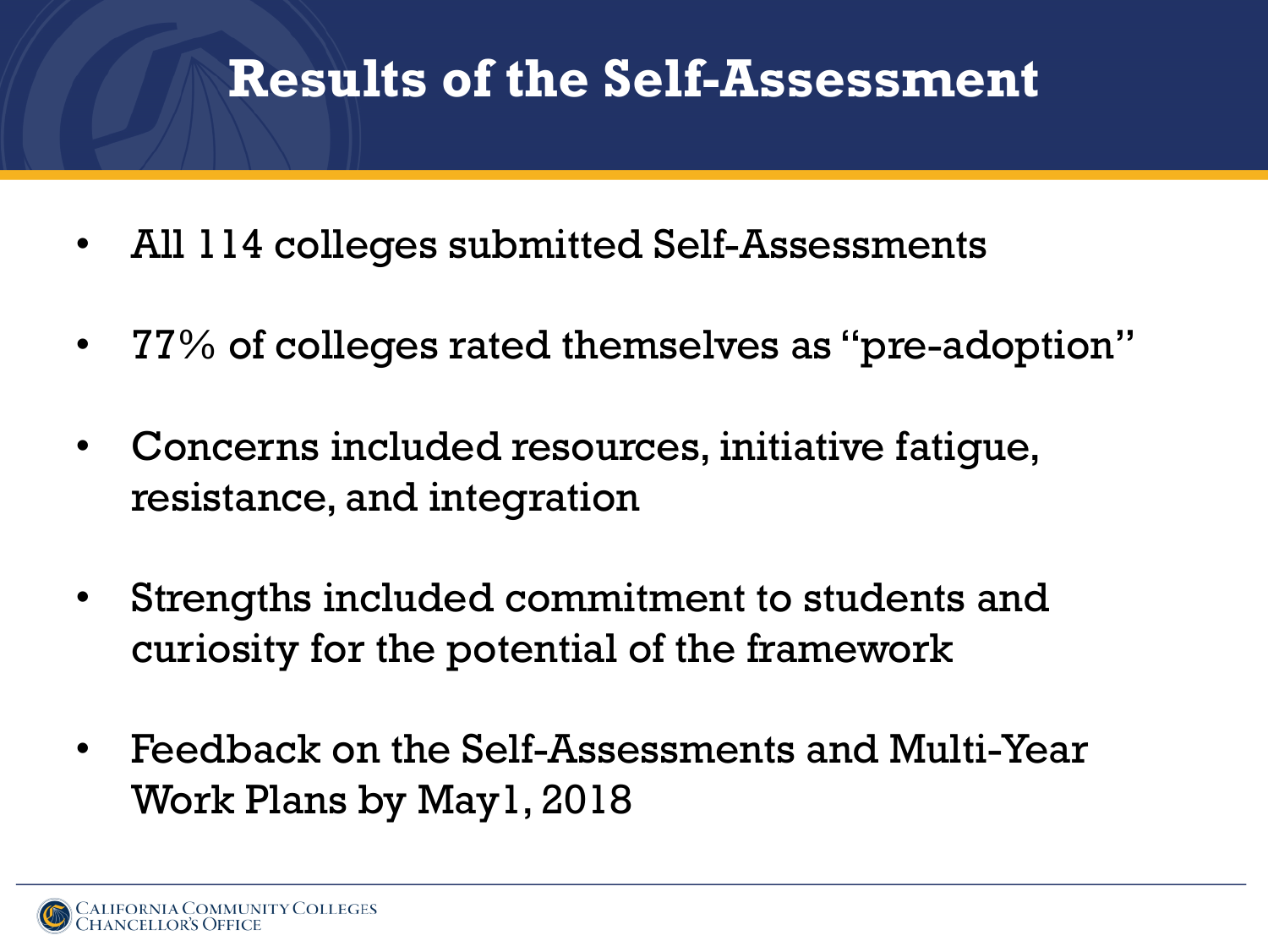## **Results of the Self-Assessment**

- All 114 colleges submitted Self-Assessments
- 77% of colleges rated themselves as "pre-adoption"
- Concerns included resources, initiative fatigue, resistance, and integration
- Strengths included commitment to students and curiosity for the potential of the framework
- Feedback on the Self-Assessments and Multi-Year Work Plans by May1, 2018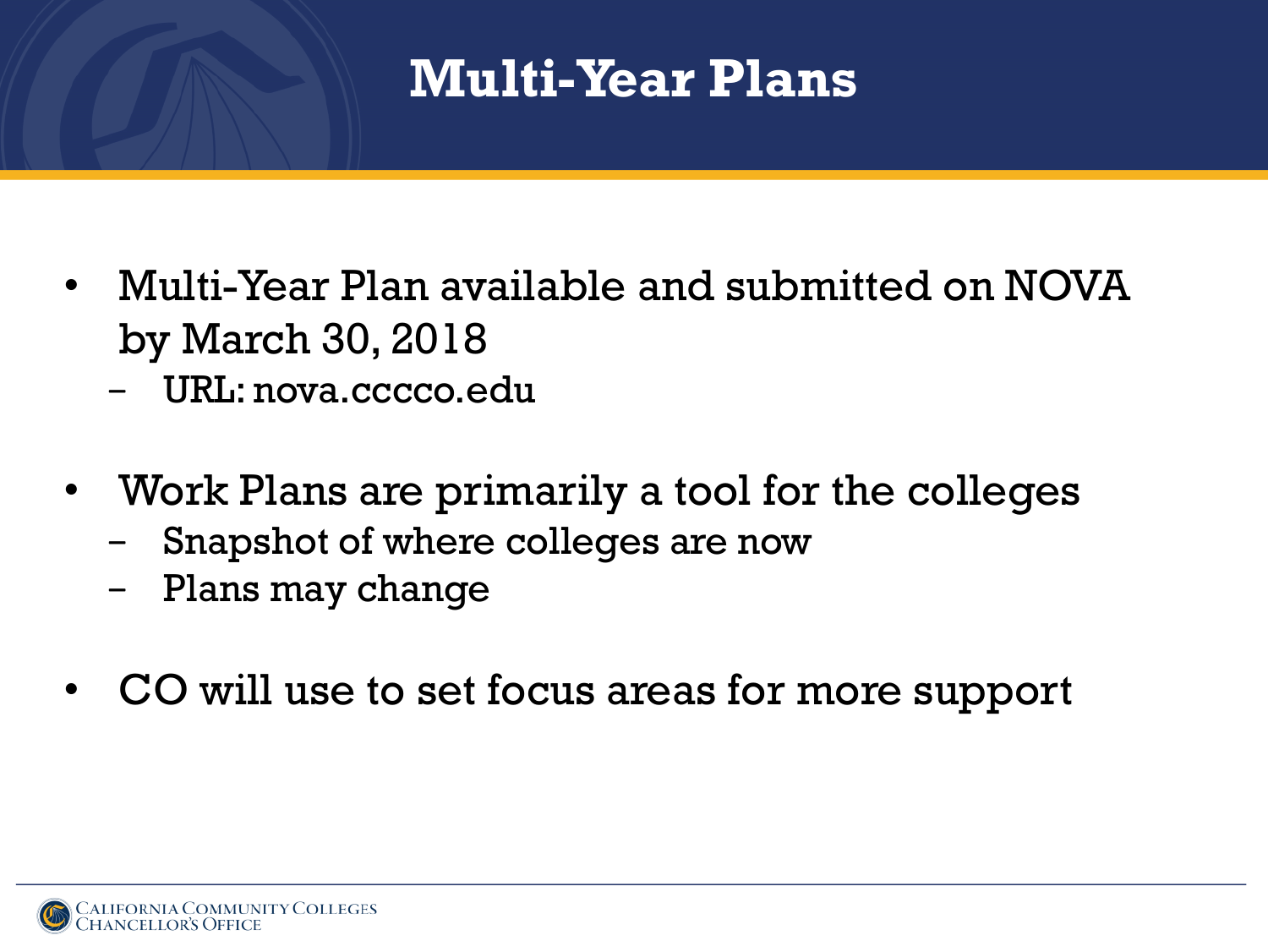## **Multi-Year Plans**

- Multi-Year Plan available and submitted on NOVA by March 30, 2018
	- − URL: nova.cccco.edu
- Work Plans are primarily a tool for the colleges
	- Snapshot of where colleges are now
	- − Plans may change
- CO will use to set focus areas for more support

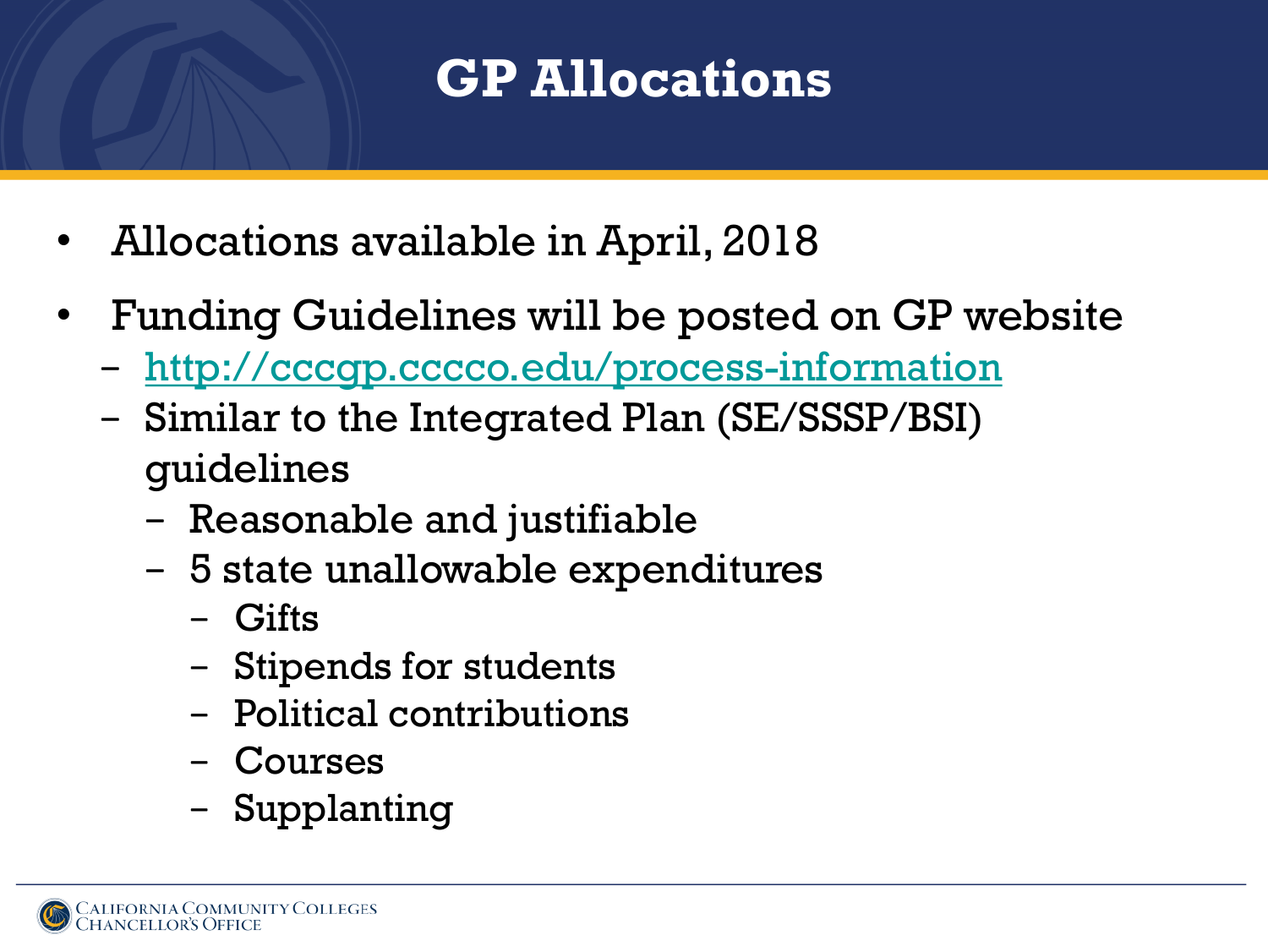## **GP Allocations**

- Allocations available in April, 2018
- Funding Guidelines will be posted on GP website
	- − <http://cccgp.cccco.edu/process-information>
	- − Similar to the Integrated Plan (SE/SSSP/BSI) guidelines
		- − Reasonable and justifiable
		- − 5 state unallowable expenditures
			- − Gifts
			- − Stipends for students
			- − Political contributions
			- − Courses
			- − Supplanting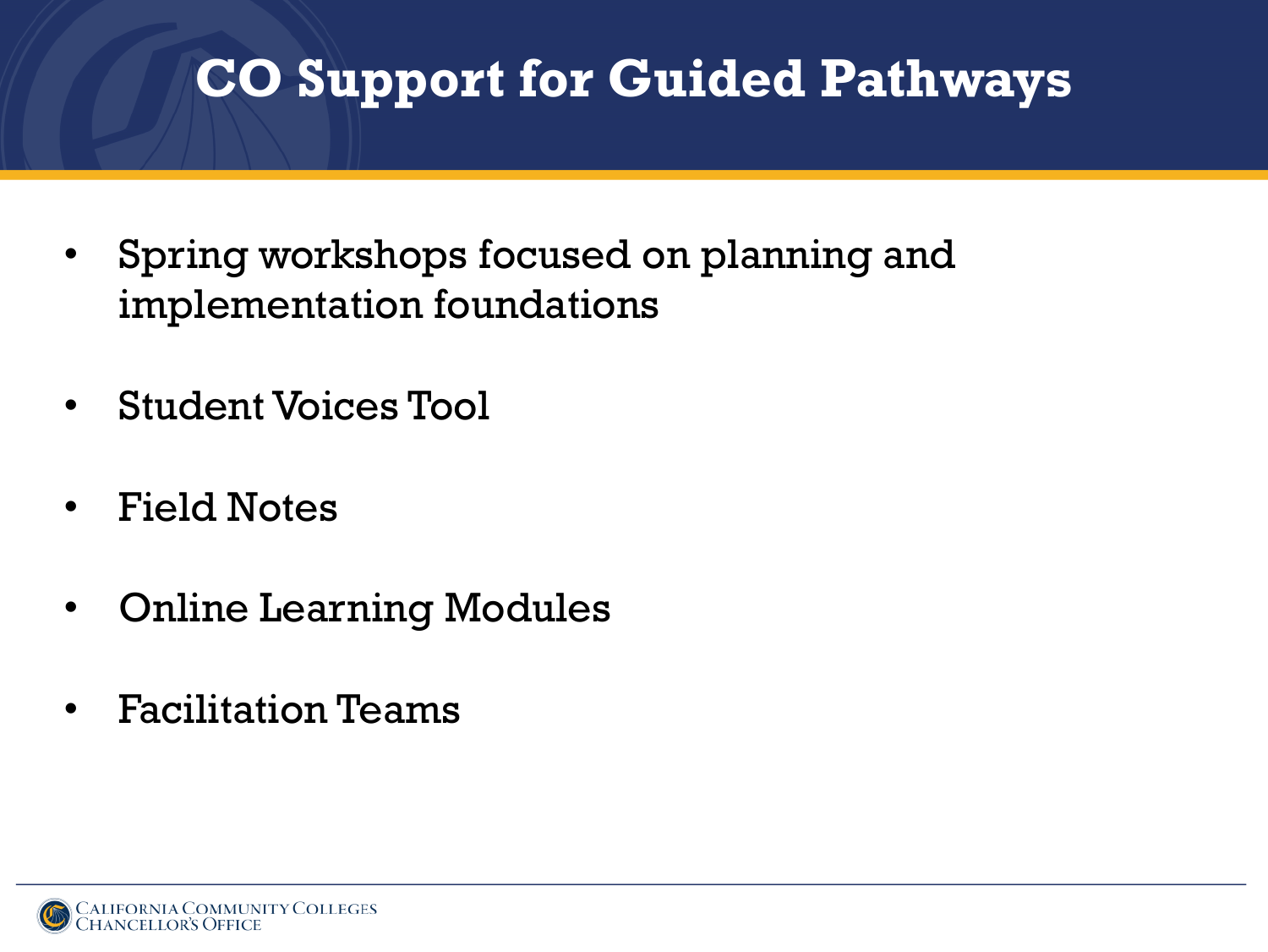## **CO Support for Guided Pathways**

- Spring workshops focused on planning and implementation foundations
- Student Voices Tool
- Field Notes
- Online Learning Modules
- Facilitation Teams